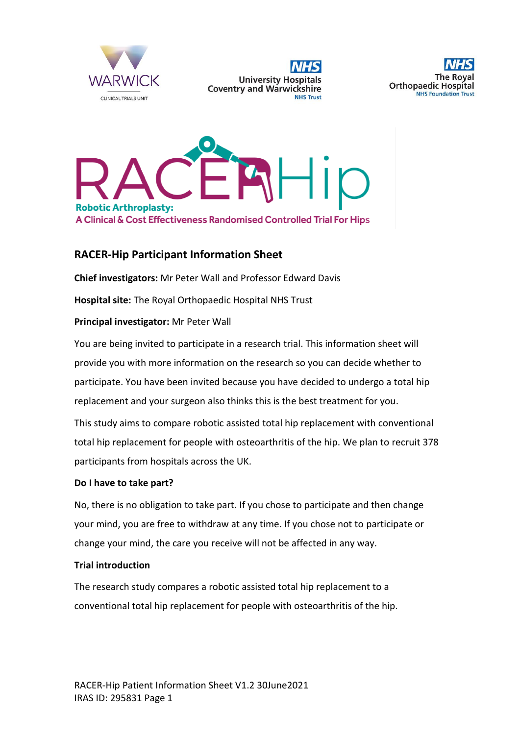

**University Hospitals Coventry and Warwickshire NHS Trust** 





# **RACER-Hip Participant Information Sheet**

**Chief investigators:** Mr Peter Wall and Professor Edward Davis

**Hospital site:** The Royal Orthopaedic Hospital NHS Trust

### **Principal investigator:** Mr Peter Wall

You are being invited to participate in a research trial. This information sheet will provide you with more information on the research so you can decide whether to participate. You have been invited because you have decided to undergo a total hip replacement and your surgeon also thinks this is the best treatment for you.

This study aims to compare robotic assisted total hip replacement with conventional total hip replacement for people with osteoarthritis of the hip. We plan to recruit 378 participants from hospitals across the UK.

#### **Do I have to take part?**

No, there is no obligation to take part. If you chose to participate and then change your mind, you are free to withdraw at any time. If you chose not to participate or change your mind, the care you receive will not be affected in any way.

#### **Trial introduction**

The research study compares a robotic assisted total hip replacement to a conventional total hip replacement for people with osteoarthritis of the hip.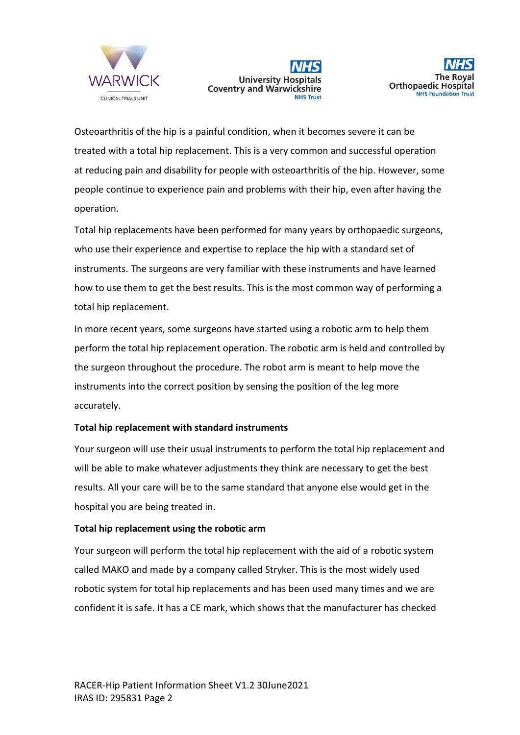





Osteoarthritis of the hip is a painful condition, when it becomes severe it can be treated with a total hip replacement. This is a very common and successful operation at reducing pain and disability for people with osteoarthritis of the hip. However, some people continue to experience pain and problems with their hip, even after having the operation.

Total hip replacements have been performed for many years by orthopaedic surgeons, who use their experience and expertise to replace the hip with a standard set of instruments. The surgeons are very familiar with these instruments and have learned how to use them to get the best results. This is the most common way of performing a total hip replacement.

In more recent years, some surgeons have started using a robotic arm to help them perform the total hip replacement operation. The robotic arm is held and controlled by the surgeon throughout the procedure. The robot arm is meant to help move the instruments into the correct position by sensing the position of the leg more accurately.

### **Total hip replacement with standard instruments**

Your surgeon will use their usual instruments to perform the total hip replacement and will be able to make whatever adjustments they think are necessary to get the best results. All your care will be to the same standard that anyone else would get in the hospital you are being treated in.

#### **Total hip replacement using the robotic arm**

Your surgeon will perform the total hip replacement with the aid of a robotic system called MAKO and made by a company called Stryker. This is the most widely used robotic system for total hip replacements and has been used many times and we are confident it is safe. It has a CE mark, which shows that the manufacturer has checked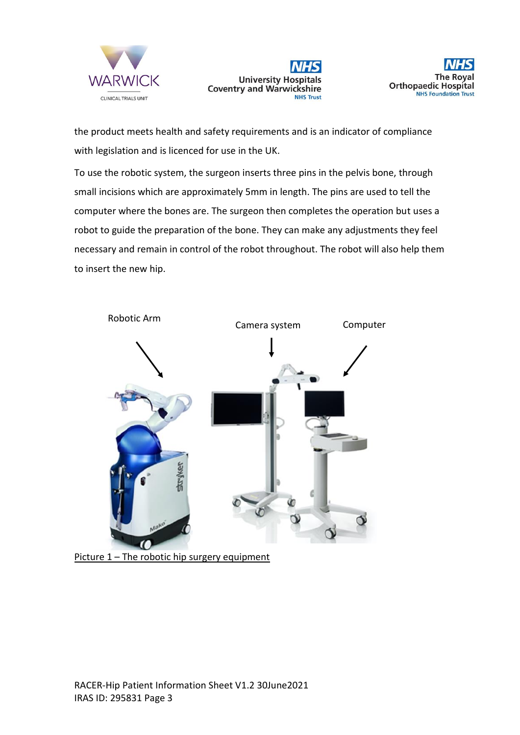





the product meets health and safety requirements and is an indicator of compliance with legislation and is licenced for use in the UK.

To use the robotic system, the surgeon inserts three pins in the pelvis bone, through small incisions which are approximately 5mm in length. The pins are used to tell the computer where the bones are. The surgeon then completes the operation but uses a robot to guide the preparation of the bone. They can make any adjustments they feel necessary and remain in control of the robot throughout. The robot will also help them to insert the new hip.



Picture 1 – The robotic hip surgery equipment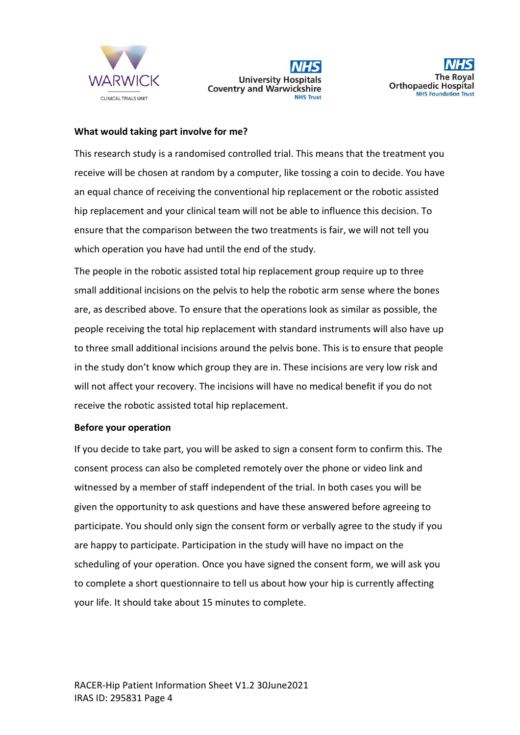





### **What would taking part involve for me?**

This research study is a randomised controlled trial. This means that the treatment you receive will be chosen at random by a computer, like tossing a coin to decide. You have an equal chance of receiving the conventional hip replacement or the robotic assisted hip replacement and your clinical team will not be able to influence this decision. To ensure that the comparison between the two treatments is fair, we will not tell you which operation you have had until the end of the study.

The people in the robotic assisted total hip replacement group require up to three small additional incisions on the pelvis to help the robotic arm sense where the bones are, as described above. To ensure that the operations look as similar as possible, the people receiving the total hip replacement with standard instruments will also have up to three small additional incisions around the pelvis bone. This is to ensure that people in the study don't know which group they are in. These incisions are very low risk and will not affect your recovery. The incisions will have no medical benefit if you do not receive the robotic assisted total hip replacement.

#### **Before your operation**

If you decide to take part, you will be asked to sign a consent form to confirm this. The consent process can also be completed remotely over the phone or video link and witnessed by a member of staff independent of the trial. In both cases you will be given the opportunity to ask questions and have these answered before agreeing to participate. You should only sign the consent form or verbally agree to the study if you are happy to participate. Participation in the study will have no impact on the scheduling of your operation. Once you have signed the consent form, we will ask you to complete a short questionnaire to tell us about how your hip is currently affecting your life. It should take about 15 minutes to complete.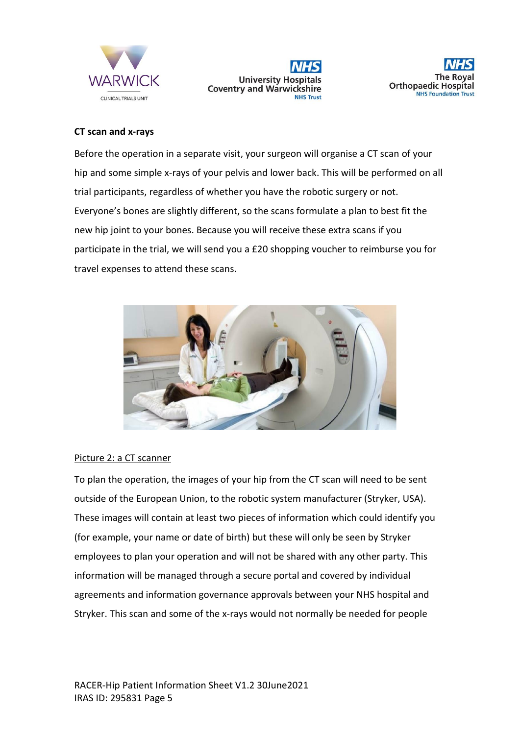





## **CT scan and x-rays**

Before the operation in a separate visit, your surgeon will organise a CT scan of your hip and some simple x-rays of your pelvis and lower back. This will be performed on all trial participants, regardless of whether you have the robotic surgery or not. Everyone's bones are slightly different, so the scans formulate a plan to best fit the new hip joint to your bones. Because you will receive these extra scans if you participate in the trial, we will send you a £20 shopping voucher to reimburse you for travel expenses to attend these scans.



### Picture 2: a CT scanner

To plan the operation, the images of your hip from the CT scan will need to be sent outside of the European Union, to the robotic system manufacturer (Stryker, USA). These images will contain at least two pieces of information which could identify you (for example, your name or date of birth) but these will only be seen by Stryker employees to plan your operation and will not be shared with any other party. This information will be managed through a secure portal and covered by individual agreements and information governance approvals between your NHS hospital and Stryker. This scan and some of the x-rays would not normally be needed for people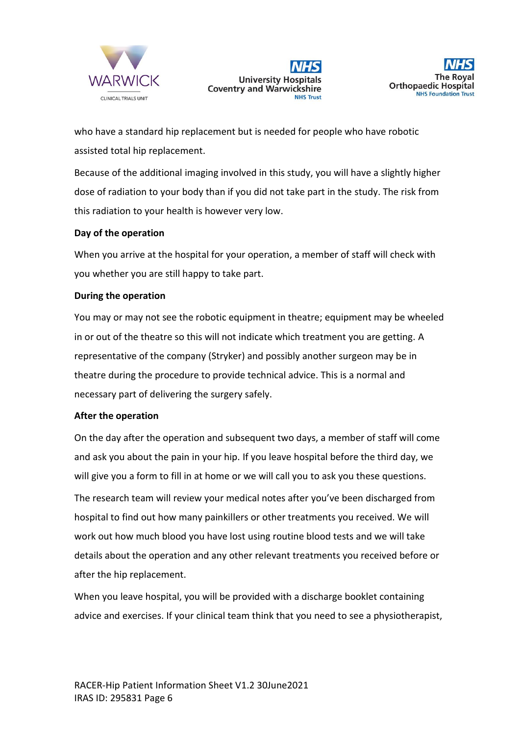





who have a standard hip replacement but is needed for people who have robotic assisted total hip replacement.

Because of the additional imaging involved in this study, you will have a slightly higher dose of radiation to your body than if you did not take part in the study. The risk from this radiation to your health is however very low.

### **Day of the operation**

When you arrive at the hospital for your operation, a member of staff will check with you whether you are still happy to take part.

#### **During the operation**

You may or may not see the robotic equipment in theatre; equipment may be wheeled in or out of the theatre so this will not indicate which treatment you are getting. A representative of the company (Stryker) and possibly another surgeon may be in theatre during the procedure to provide technical advice. This is a normal and necessary part of delivering the surgery safely.

#### **After the operation**

On the day after the operation and subsequent two days, a member of staff will come and ask you about the pain in your hip. If you leave hospital before the third day, we will give you a form to fill in at home or we will call you to ask you these questions. The research team will review your medical notes after you've been discharged from hospital to find out how many painkillers or other treatments you received. We will work out how much blood you have lost using routine blood tests and we will take details about the operation and any other relevant treatments you received before or after the hip replacement.

When you leave hospital, you will be provided with a discharge booklet containing advice and exercises. If your clinical team think that you need to see a physiotherapist,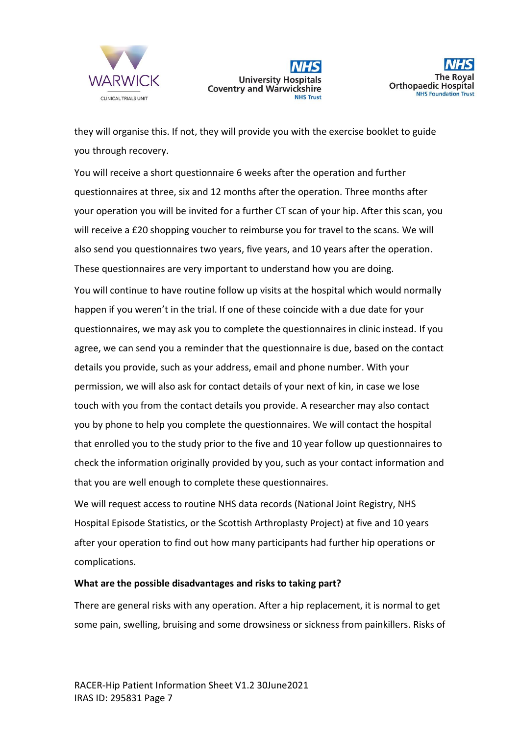



they will organise this. If not, they will provide you with the exercise booklet to guide you through recovery.

You will receive a short questionnaire 6 weeks after the operation and further questionnaires at three, six and 12 months after the operation. Three months after your operation you will be invited for a further CT scan of your hip. After this scan, you will receive a £20 shopping voucher to reimburse you for travel to the scans. We will also send you questionnaires two years, five years, and 10 years after the operation. These questionnaires are very important to understand how you are doing. You will continue to have routine follow up visits at the hospital which would normally happen if you weren't in the trial. If one of these coincide with a due date for your questionnaires, we may ask you to complete the questionnaires in clinic instead. If you agree, we can send you a reminder that the questionnaire is due, based on the contact details you provide, such as your address, email and phone number. With your permission, we will also ask for contact details of your next of kin, in case we lose touch with you from the contact details you provide. A researcher may also contact you by phone to help you complete the questionnaires. We will contact the hospital that enrolled you to the study prior to the five and 10 year follow up questionnaires to check the information originally provided by you, such as your contact information and that you are well enough to complete these questionnaires.

We will request access to routine NHS data records (National Joint Registry, NHS Hospital Episode Statistics, or the Scottish Arthroplasty Project) at five and 10 years after your operation to find out how many participants had further hip operations or complications.

#### **What are the possible disadvantages and risks to taking part?**

There are general risks with any operation. After a hip replacement, it is normal to get some pain, swelling, bruising and some drowsiness or sickness from painkillers. Risks of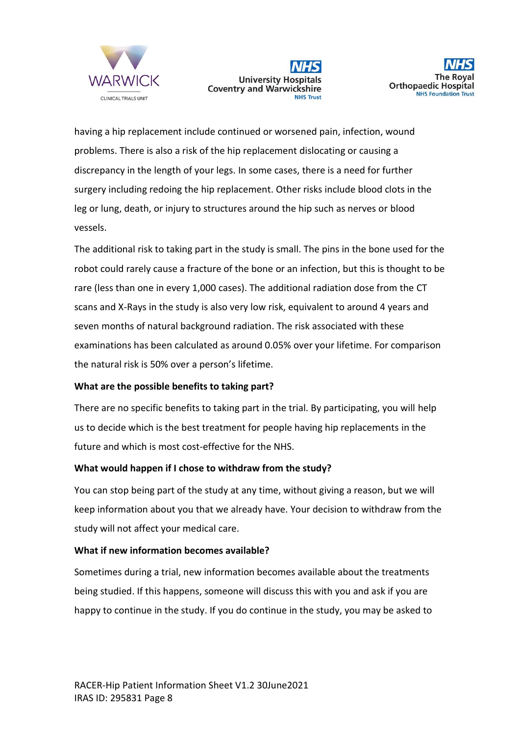





having a hip replacement include continued or worsened pain, infection, wound problems. There is also a risk of the hip replacement dislocating or causing a discrepancy in the length of your legs. In some cases, there is a need for further surgery including redoing the hip replacement. Other risks include blood clots in the leg or lung, death, or injury to structures around the hip such as nerves or blood vessels.

The additional risk to taking part in the study is small. The pins in the bone used for the robot could rarely cause a fracture of the bone or an infection, but this is thought to be rare (less than one in every 1,000 cases). The additional radiation dose from the CT scans and X-Rays in the study is also very low risk, equivalent to around 4 years and seven months of natural background radiation. The risk associated with these examinations has been calculated as around 0.05% over your lifetime. For comparison the natural risk is 50% over a person's lifetime.

### **What are the possible benefits to taking part?**

There are no specific benefits to taking part in the trial. By participating, you will help us to decide which is the best treatment for people having hip replacements in the future and which is most cost-effective for the NHS.

### **What would happen if I chose to withdraw from the study?**

You can stop being part of the study at any time, without giving a reason, but we will keep information about you that we already have. Your decision to withdraw from the study will not affect your medical care.

### **What if new information becomes available?**

Sometimes during a trial, new information becomes available about the treatments being studied. If this happens, someone will discuss this with you and ask if you are happy to continue in the study. If you do continue in the study, you may be asked to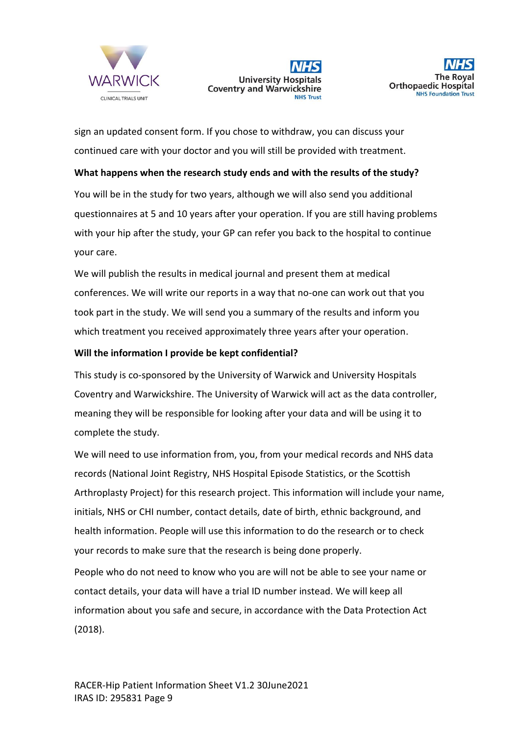





sign an updated consent form. If you chose to withdraw, you can discuss your continued care with your doctor and you will still be provided with treatment.

**What happens when the research study ends and with the results of the study?** You will be in the study for two years, although we will also send you additional questionnaires at 5 and 10 years after your operation. If you are still having problems with your hip after the study, your GP can refer you back to the hospital to continue your care.

We will publish the results in medical journal and present them at medical conferences. We will write our reports in a way that no-one can work out that you took part in the study. We will send you a summary of the results and inform you which treatment you received approximately three years after your operation.

### **Will the information I provide be kept confidential?**

This study is co-sponsored by the University of Warwick and University Hospitals Coventry and Warwickshire. The University of Warwick will act as the data controller, meaning they will be responsible for looking after your data and will be using it to complete the study.

We will need to use information from, you, from your medical records and NHS data records (National Joint Registry, NHS Hospital Episode Statistics, or the Scottish Arthroplasty Project) for this research project. This information will include your name, initials, NHS or CHI number, contact details, date of birth, ethnic background, and health information. People will use this information to do the research or to check your records to make sure that the research is being done properly.

People who do not need to know who you are will not be able to see your name or contact details, your data will have a trial ID number instead. We will keep all information about you safe and secure, in accordance with the Data Protection Act (2018).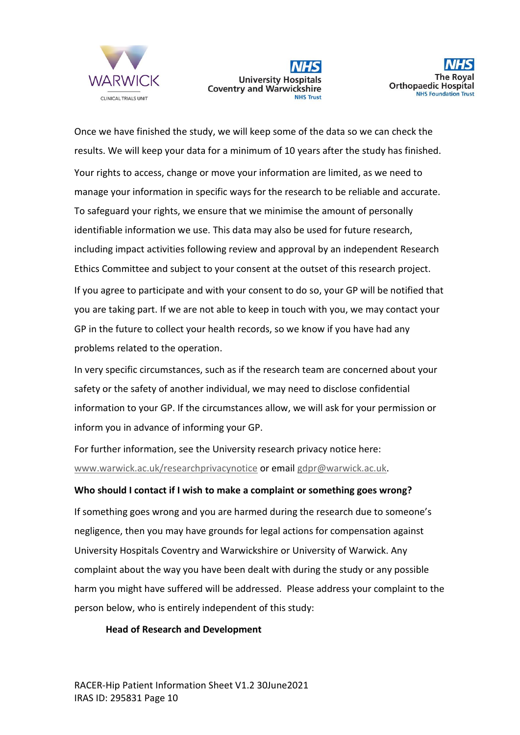





Once we have finished the study, we will keep some of the data so we can check the results. We will keep your data for a minimum of 10 years after the study has finished. Your rights to access, change or move your information are limited, as we need to manage your information in specific ways for the research to be reliable and accurate. To safeguard your rights, we ensure that we minimise the amount of personally identifiable information we use. This data may also be used for future research, including impact activities following review and approval by an independent Research Ethics Committee and subject to your consent at the outset of this research project. If you agree to participate and with your consent to do so, your GP will be notified that you are taking part. If we are not able to keep in touch with you, we may contact your GP in the future to collect your health records, so we know if you have had any problems related to the operation.

In very specific circumstances, such as if the research team are concerned about your safety or the safety of another individual, we may need to disclose confidential information to your GP. If the circumstances allow, we will ask for your permission or inform you in advance of informing your GP.

For further information, see the University research privacy notice here: [www.warwick.ac.uk/researchprivacynotice](http://www.warwick.ac.uk/researchprivacynotice) or email [gdpr@warwick.ac.uk.](mailto:gdpr@warwick.ac.uk)

### **Who should I contact if I wish to make a complaint or something goes wrong?**

If something goes wrong and you are harmed during the research due to someone's negligence, then you may have grounds for legal actions for compensation against University Hospitals Coventry and Warwickshire or University of Warwick. Any complaint about the way you have been dealt with during the study or any possible harm you might have suffered will be addressed. Please address your complaint to the person below, who is entirely independent of this study:

#### **Head of Research and Development**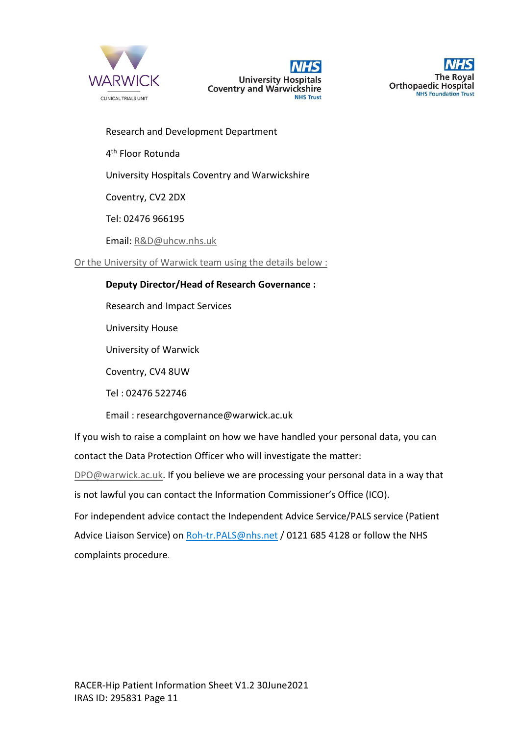





Research and Development Department

4<sup>th</sup> Floor Rotunda

University Hospitals Coventry and Warwickshire

Coventry, CV2 2DX

Tel: 02476 966195

Email[: R&D@uhcw.nhs.uk](mailto:R&D@uhcw.nhs.uk)

Or the University of Warwick team using the details below :

## **Deputy Director/Head of Research Governance :**

Research and Impact Services

University House

University of Warwick

Coventry, CV4 8UW

Tel : 02476 522746

Email : researchgovernance@warwick.ac.uk

If you wish to raise a complaint on how we have handled your personal data, you can contact the Data Protection Officer who will investigate the matter:

[DPO@warwick.ac.uk.](mailto:DPO@warwick.ac.uk) If you believe we are processing your personal data in a way that is not lawful you can contact the Information Commissioner's Office (ICO).

For independent advice contact the Independent Advice Service/PALS service (Patient Advice Liaison Service) on [Roh-tr.PALS@nhs.net](mailto:Roh-tr.PALS@nhs.net) / 0121 685 4128 or follow the NHS complaints procedure.